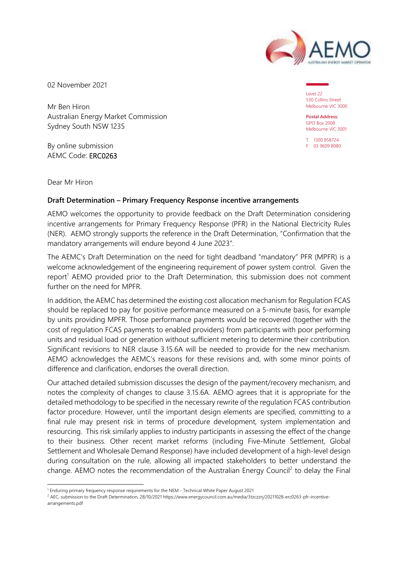

02 November 2021

Mr Ben Hiron Australian Energy Market Commission Sydney South NSW 1235

By online submission AEMC Code: ERC0263

Level 22 530 Collins Street Melbourne VIC 3000

**Postal Address:** GPO Box 2008 Melbourne VIC 3001

T 1300 858724 F 03 9609 8080

Dear Mr Hiron

#### **Draft Determination – Primary Frequency Response incentive arrangements**

AEMO welcomes the opportunity to provide feedback on the Draft Determination considering incentive arrangements for Primary Frequency Response (PFR) in the National Electricity Rules (NER). AEMO strongly supports the reference in the Draft Determination, "Confirmation that the mandatory arrangements will endure beyond 4 June 2023".

The AEMC's Draft Determination on the need for tight deadband "mandatory" PFR (MPFR) is a welcome acknowledgement of the engineering requirement of power system control. Given the report<sup>1</sup> AEMO provided prior to the Draft Determination, this submission does not comment further on the need for MPFR.

In addition, the AEMC has determined the existing cost allocation mechanism for Regulation FCAS should be replaced to pay for positive performance measured on a 5-minute basis, for example by units providing MPFR. Those performance payments would be recovered (together with the cost of regulation FCAS payments to enabled providers) from participants with poor performing units and residual load or generation without sufficient metering to determine their contribution. Significant revisions to NER clause 3.15.6A will be needed to provide for the new mechanism. AEMO acknowledges the AEMC's reasons for these revisions and, with some minor points of difference and clarification, endorses the overall direction.

Our attached detailed submission discusses the design of the payment/recovery mechanism, and notes the complexity of changes to clause 3.15.6A. AEMO agrees that it is appropriate for the detailed methodology to be specified in the necessary rewrite of the regulation FCAS contribution factor procedure. However, until the important design elements are specified, committing to a final rule may present risk in terms of procedure development, system implementation and resourcing. This risk similarly applies to industry participants in assessing the effect of the change to their business. Other recent market reforms (including Five-Minute Settlement, Global Settlement and Wholesale Demand Response) have included development of a high-level design during consultation on the rule, allowing all impacted stakeholders to better understand the change. AEMO notes the recommendation of the Australian Energy Council<sup>2</sup> to delay the Final

<sup>1</sup> Enduring primary frequency response requirements for the NEM - Technical White Paper August 2021

<sup>&</sup>lt;sup>2</sup> AEC, submission to the Draft Determination, 28/10/2021 https://www.energycouncil.com.au/media/3tzczzrj/20211028-erc0263-pfr-incentivearrangements.pdf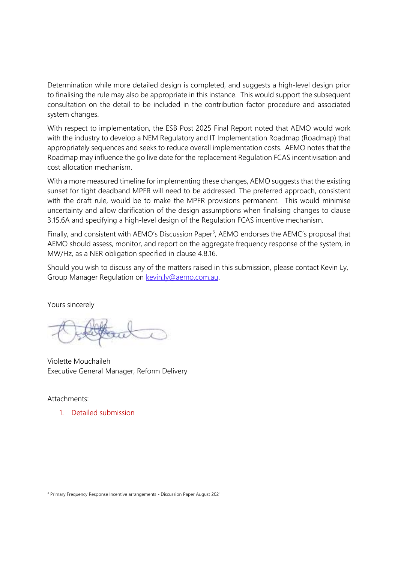Determination while more detailed design is completed, and suggests a high-level design prior to finalising the rule may also be appropriate in this instance. This would support the subsequent consultation on the detail to be included in the contribution factor procedure and associated system changes.

With respect to implementation, the ESB Post 2025 Final Report noted that AEMO would work with the industry to develop a NEM Regulatory and IT Implementation Roadmap (Roadmap) that appropriately sequences and seeks to reduce overall implementation costs. AEMO notes that the Roadmap may influence the go live date for the replacement Regulation FCAS incentivisation and cost allocation mechanism.

With a more measured timeline for implementing these changes, AEMO suggests that the existing sunset for tight deadband MPFR will need to be addressed. The preferred approach, consistent with the draft rule, would be to make the MPFR provisions permanent. This would minimise uncertainty and allow clarification of the design assumptions when finalising changes to clause 3.15.6A and specifying a high-level design of the Regulation FCAS incentive mechanism.

Finally, and consistent with AEMO's Discussion Paper<sup>3</sup>, AEMO endorses the AEMC's proposal that AEMO should assess, monitor, and report on the aggregate frequency response of the system, in MW/Hz, as a NER obligation specified in clause 4.8.16.

Should you wish to discuss any of the matters raised in this submission, please contact Kevin Ly, Group Manager Regulation on kevin.ly@aemo.com.au.

Yours sincerely

Violette Mouchaileh Executive General Manager, Reform Delivery

Attachments:

1. Detailed submission

<sup>&</sup>lt;sup>3</sup> Primary Frequency Response Incentive arrangements - Discussion Paper August 2021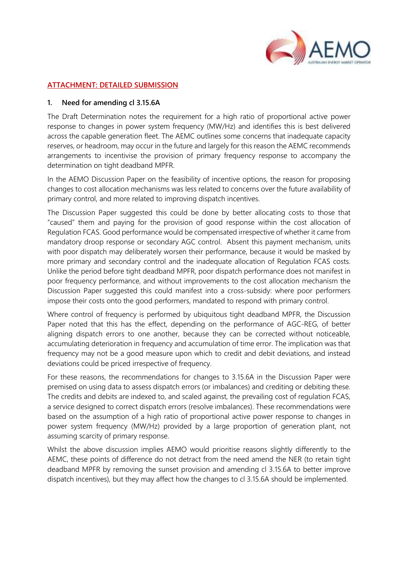

#### **ATTACHMENT: DETAILED SUBMISSION**

#### **1. Need for amending cl 3.15.6A**

The Draft Determination notes the requirement for a high ratio of proportional active power response to changes in power system frequency (MW/Hz) and identifies this is best delivered across the capable generation fleet. The AEMC outlines some concerns that inadequate capacity reserves, or headroom, may occur in the future and largely for this reason the AEMC recommends arrangements to incentivise the provision of primary frequency response to accompany the determination on tight deadband MPFR.

In the AEMO Discussion Paper on the feasibility of incentive options, the reason for proposing changes to cost allocation mechanisms was less related to concerns over the future availability of primary control, and more related to improving dispatch incentives.

The Discussion Paper suggested this could be done by better allocating costs to those that "caused" them and paying for the provision of good response within the cost allocation of Regulation FCAS. Good performance would be compensated irrespective of whether it came from mandatory droop response or secondary AGC control. Absent this payment mechanism, units with poor dispatch may deliberately worsen their performance, because it would be masked by more primary and secondary control and the inadequate allocation of Regulation FCAS costs. Unlike the period before tight deadband MPFR, poor dispatch performance does not manifest in poor frequency performance, and without improvements to the cost allocation mechanism the Discussion Paper suggested this could manifest into a cross-subsidy: where poor performers impose their costs onto the good performers, mandated to respond with primary control.

Where control of frequency is performed by ubiquitous tight deadband MPFR, the Discussion Paper noted that this has the effect, depending on the performance of AGC-REG, of better aligning dispatch errors to one another, because they can be corrected without noticeable, accumulating deterioration in frequency and accumulation of time error. The implication was that frequency may not be a good measure upon which to credit and debit deviations, and instead deviations could be priced irrespective of frequency.

For these reasons, the recommendations for changes to 3.15.6A in the Discussion Paper were premised on using data to assess dispatch errors (or imbalances) and crediting or debiting these. The credits and debits are indexed to, and scaled against, the prevailing cost of regulation FCAS, a service designed to correct dispatch errors (resolve imbalances). These recommendations were based on the assumption of a high ratio of proportional active power response to changes in power system frequency (MW/Hz) provided by a large proportion of generation plant, not assuming scarcity of primary response.

Whilst the above discussion implies AEMO would prioritise reasons slightly differently to the AEMC, these points of difference do not detract from the need amend the NER (to retain tight deadband MPFR by removing the sunset provision and amending cl 3.15.6A to better improve dispatch incentives), but they may affect how the changes to cl 3.15.6A should be implemented.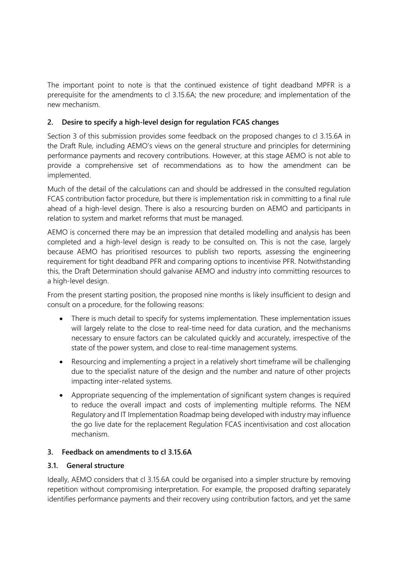The important point to note is that the continued existence of tight deadband MPFR is a prerequisite for the amendments to cl 3.15.6A; the new procedure; and implementation of the new mechanism.

# **2. Desire to specify a high-level design for regulation FCAS changes**

Section 3 of this submission provides some feedback on the proposed changes to cl 3.15.6A in the Draft Rule, including AEMO's views on the general structure and principles for determining performance payments and recovery contributions. However, at this stage AEMO is not able to provide a comprehensive set of recommendations as to how the amendment can be implemented.

Much of the detail of the calculations can and should be addressed in the consulted regulation FCAS contribution factor procedure, but there is implementation risk in committing to a final rule ahead of a high-level design. There is also a resourcing burden on AEMO and participants in relation to system and market reforms that must be managed.

AEMO is concerned there may be an impression that detailed modelling and analysis has been completed and a high-level design is ready to be consulted on. This is not the case, largely because AEMO has prioritised resources to publish two reports, assessing the engineering requirement for tight deadband PFR and comparing options to incentivise PFR. Notwithstanding this, the Draft Determination should galvanise AEMO and industry into committing resources to a high-level design.

From the present starting position, the proposed nine months is likely insufficient to design and consult on a procedure, for the following reasons:

- There is much detail to specify for systems implementation. These implementation issues will largely relate to the close to real-time need for data curation, and the mechanisms necessary to ensure factors can be calculated quickly and accurately, irrespective of the state of the power system, and close to real-time management systems.
- Resourcing and implementing a project in a relatively short timeframe will be challenging due to the specialist nature of the design and the number and nature of other projects impacting inter-related systems.
- Appropriate sequencing of the implementation of significant system changes is required to reduce the overall impact and costs of implementing multiple reforms. The NEM Regulatory and IT Implementation Roadmap being developed with industry may influence the go live date for the replacement Regulation FCAS incentivisation and cost allocation mechanism.

### **3. Feedback on amendments to cl 3.15.6A**

#### **3.1. General structure**

Ideally, AEMO considers that cl 3.15.6A could be organised into a simpler structure by removing repetition without compromising interpretation. For example, the proposed drafting separately identifies performance payments and their recovery using contribution factors, and yet the same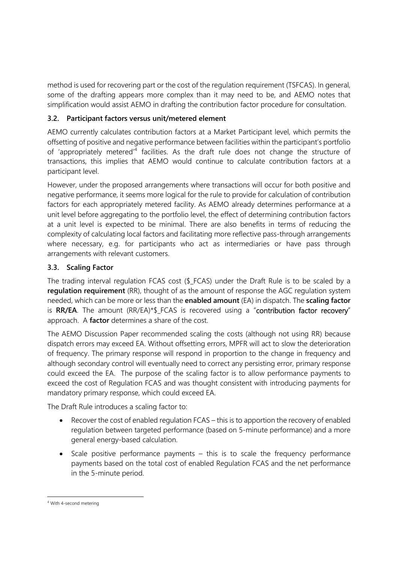method is used for recovering part or the cost of the regulation requirement (TSFCAS). In general, some of the drafting appears more complex than it may need to be, and AEMO notes that simplification would assist AEMO in drafting the contribution factor procedure for consultation.

# **3.2. Participant factors versus unit/metered element**

AEMO currently calculates contribution factors at a Market Participant level, which permits the offsetting of positive and negative performance between facilities within the participant's portfolio of 'appropriately metered<sup>'4</sup> facilities. As the draft rule does not change the structure of transactions, this implies that AEMO would continue to calculate contribution factors at a participant level.

However, under the proposed arrangements where transactions will occur for both positive and negative performance, it seems more logical for the rule to provide for calculation of contribution factors for each appropriately metered facility. As AEMO already determines performance at a unit level before aggregating to the portfolio level, the effect of determining contribution factors at a unit level is expected to be minimal. There are also benefits in terms of reducing the complexity of calculating local factors and facilitating more reflective pass-through arrangements where necessary, e.g. for participants who act as intermediaries or have pass through arrangements with relevant customers.

# **3.3. Scaling Factor**

The trading interval regulation FCAS cost (\$\_FCAS) under the Draft Rule is to be scaled by a **regulation requirement** (RR), thought of as the amount of response the AGC regulation system needed, which can be more or less than the **enabled amount** (EA) in dispatch. The **scaling factor** is RR/EA. The amount (RR/EA)\*\$ FCAS is recovered using a "contribution factor recovery" approach. A **factor** determines a share of the cost.

The AEMO Discussion Paper recommended scaling the costs (although not using RR) because dispatch errors may exceed EA. Without offsetting errors, MPFR will act to slow the deterioration of frequency. The primary response will respond in proportion to the change in frequency and although secondary control will eventually need to correct any persisting error, primary response could exceed the EA. The purpose of the scaling factor is to allow performance payments to exceed the cost of Regulation FCAS and was thought consistent with introducing payments for mandatory primary response, which could exceed EA.

The Draft Rule introduces a scaling factor to:

- Recover the cost of enabled regulation FCAS this is to apportion the recovery of enabled regulation between targeted performance (based on 5-minute performance) and a more general energy-based calculation.
- $\bullet$  Scale positive performance payments this is to scale the frequency performance payments based on the total cost of enabled Regulation FCAS and the net performance in the 5-minute period.

<sup>4</sup> With 4-second metering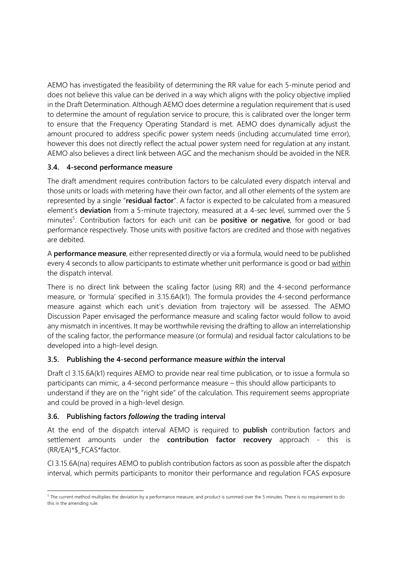AEMO has investigated the feasibility of determining the RR value for each 5-minute period and does not believe this value can be derived in a way which aligns with the policy objective implied in the Draft Determination. Although AEMO does determine a regulation requirement that is used to determine the amount of regulation service to procure, this is calibrated over the longer term to ensure that the Frequency Operating Standard is met. AEMO does dynamically adjust the amount procured to address specific power system needs (including accumulated time error), however this does not directly reflect the actual power system need for regulation at any instant. AEMO also believes a direct link between AGC and the mechanism should be avoided in the NER.

# **3.4. 4-second performance measure**

The draft amendment requires contribution factors to be calculated every dispatch interval and those units or loads with metering have their own factor, and all other elements of the system are represented by a single "**residual factor**". A factor is expected to be calculated from a measured element's **deviation** from a 5-minute trajectory, measured at a 4-sec level, summed over the 5 minutes<sup>5</sup>. Contribution factors for each unit can be **positive or negative**, for good or bad performance respectively. Those units with positive factors are credited and those with negatives are debited.

A **performance measure**, either represented directly or via a formula, would need to be published every 4 seconds to allow participants to estimate whether unit performance is good or bad within the dispatch interval.

There is no direct link between the scaling factor (using RR) and the 4-second performance measure, or 'formula' specified in 3.15.6A(k1). The formula provides the 4-second performance measure against which each unit's deviation from trajectory will be assessed. The AEMO Discussion Paper envisaged the performance measure and scaling factor would follow to avoid any mismatch in incentives. It may be worthwhile revising the drafting to allow an interrelationship of the scaling factor, the performance measure (or formula) and residual factor calculations to be developed into a high-level design.

# **3.5. Publishing the 4-second performance measure** *within* **the interval**

Draft cl 3.15.6A(k1) requires AEMO to provide near real time publication, or to issue a formula so participants can mimic, a 4-second performance measure – this should allow participants to understand if they are on the "right side" of the calculation. This requirement seems appropriate and could be proved in a high-level design.

# **3.6. Publishing factors** *following* **the trading interval**

At the end of the dispatch interval AEMO is required to **publish** contribution factors and settlement amounts under the **contribution factor recovery** approach - this is (RR/EA)\*\$\_FCAS\*factor.

Cl 3.15.6A(na) requires AEMO to publish contribution factors as soon as possible after the dispatch interval, which permits participants to monitor their performance and regulation FCAS exposure

<sup>&</sup>lt;sup>5</sup> The current method multiplies the deviation by a performance measure, and product is summed over the 5 minutes. There is no requirement to do this in the amending rule.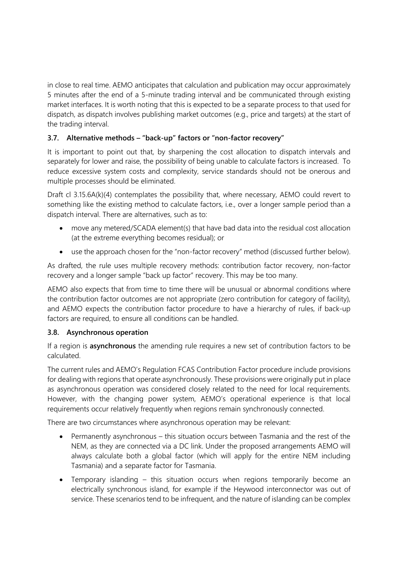in close to real time. AEMO anticipates that calculation and publication may occur approximately 5 minutes after the end of a 5-minute trading interval and be communicated through existing market interfaces. It is worth noting that this is expected to be a separate process to that used for dispatch, as dispatch involves publishing market outcomes (e.g., price and targets) at the start of the trading interval.

# **3.7. Alternative methods – "back-up" factors or "non-factor recovery"**

It is important to point out that, by sharpening the cost allocation to dispatch intervals and separately for lower and raise, the possibility of being unable to calculate factors is increased. To reduce excessive system costs and complexity, service standards should not be onerous and multiple processes should be eliminated.

Draft cl 3.15.6A(k)(4) contemplates the possibility that, where necessary, AEMO could revert to something like the existing method to calculate factors, i.e., over a longer sample period than a dispatch interval. There are alternatives, such as to:

- move any metered/SCADA element(s) that have bad data into the residual cost allocation (at the extreme everything becomes residual); or
- use the approach chosen for the "non-factor recovery" method (discussed further below).

As drafted, the rule uses multiple recovery methods: contribution factor recovery, non-factor recovery and a longer sample "back up factor" recovery. This may be too many.

AEMO also expects that from time to time there will be unusual or abnormal conditions where the contribution factor outcomes are not appropriate (zero contribution for category of facility), and AEMO expects the contribution factor procedure to have a hierarchy of rules, if back-up factors are required, to ensure all conditions can be handled.

### **3.8. Asynchronous operation**

If a region is **asynchronous** the amending rule requires a new set of contribution factors to be calculated.

The current rules and AEMO's Regulation FCAS Contribution Factor procedure include provisions for dealing with regions that operate asynchronously. These provisions were originally put in place as asynchronous operation was considered closely related to the need for local requirements. However, with the changing power system, AEMO's operational experience is that local requirements occur relatively frequently when regions remain synchronously connected.

There are two circumstances where asynchronous operation may be relevant:

- Permanently asynchronous this situation occurs between Tasmania and the rest of the NEM, as they are connected via a DC link. Under the proposed arrangements AEMO will always calculate both a global factor (which will apply for the entire NEM including Tasmania) and a separate factor for Tasmania.
- Temporary islanding this situation occurs when regions temporarily become an electrically synchronous island, for example if the Heywood interconnector was out of service. These scenarios tend to be infrequent, and the nature of islanding can be complex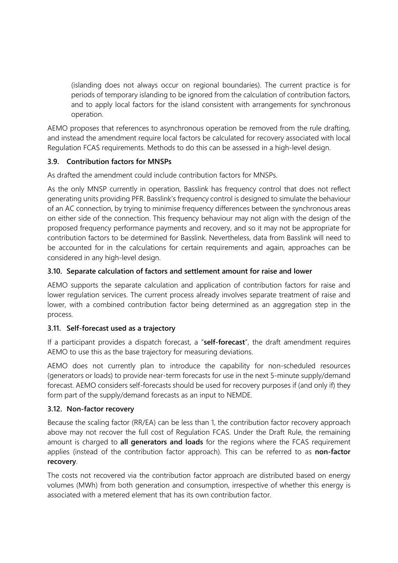(islanding does not always occur on regional boundaries). The current practice is for periods of temporary islanding to be ignored from the calculation of contribution factors, and to apply local factors for the island consistent with arrangements for synchronous operation.

AEMO proposes that references to asynchronous operation be removed from the rule drafting, and instead the amendment require local factors be calculated for recovery associated with local Regulation FCAS requirements. Methods to do this can be assessed in a high-level design.

# **3.9. Contribution factors for MNSPs**

As drafted the amendment could include contribution factors for MNSPs.

As the only MNSP currently in operation, Basslink has frequency control that does not reflect generating units providing PFR. Basslink's frequency control is designed to simulate the behaviour of an AC connection, by trying to minimise frequency differences between the synchronous areas on either side of the connection. This frequency behaviour may not align with the design of the proposed frequency performance payments and recovery, and so it may not be appropriate for contribution factors to be determined for Basslink. Nevertheless, data from Basslink will need to be accounted for in the calculations for certain requirements and again, approaches can be considered in any high-level design.

# **3.10. Separate calculation of factors and settlement amount for raise and lower**

AEMO supports the separate calculation and application of contribution factors for raise and lower regulation services. The current process already involves separate treatment of raise and lower, with a combined contribution factor being determined as an aggregation step in the process.

### **3.11. Self-forecast used as a trajectory**

If a participant provides a dispatch forecast, a "**self-forecast**", the draft amendment requires AEMO to use this as the base trajectory for measuring deviations.

AEMO does not currently plan to introduce the capability for non-scheduled resources (generators or loads) to provide near-term forecasts for use in the next 5-minute supply/demand forecast. AEMO considers self-forecasts should be used for recovery purposes if (and only if) they form part of the supply/demand forecasts as an input to NEMDE.

### **3.12. Non-factor recovery**

Because the scaling factor (RR/EA) can be less than 1, the contribution factor recovery approach above may not recover the full cost of Regulation FCAS. Under the Draft Rule, the remaining amount is charged to **all generators and loads** for the regions where the FCAS requirement applies (instead of the contribution factor approach). This can be referred to as **non-factor recovery**.

The costs not recovered via the contribution factor approach are distributed based on energy volumes (MWh) from both generation and consumption, irrespective of whether this energy is associated with a metered element that has its own contribution factor.